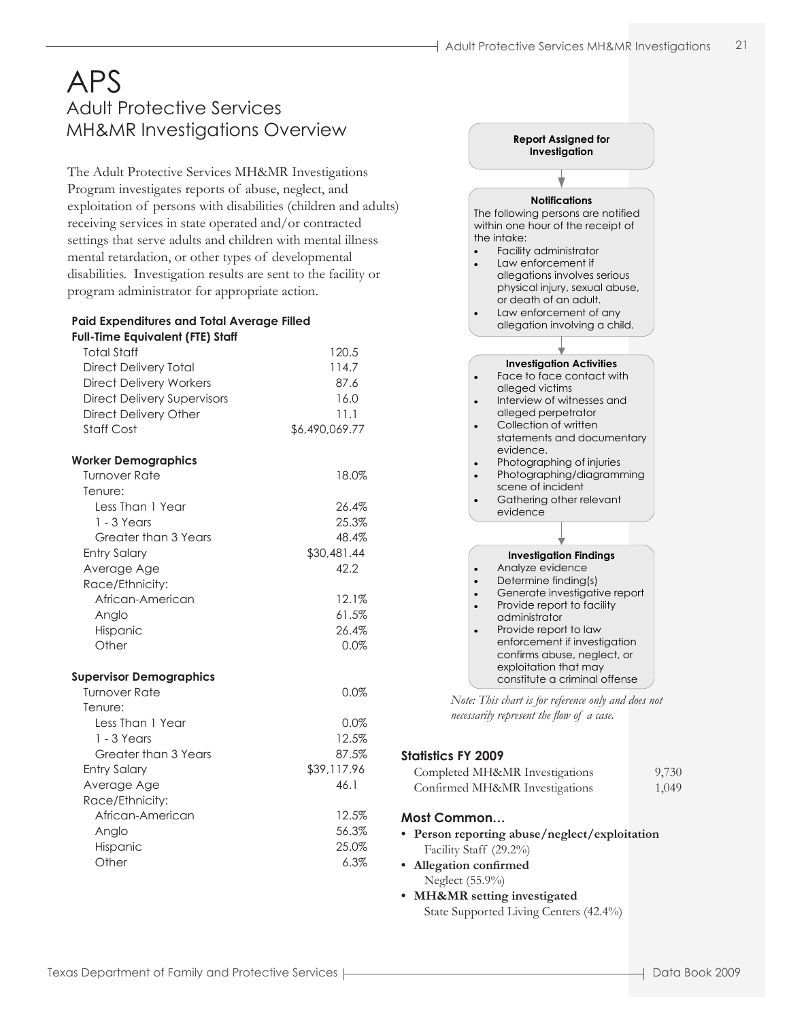# APS Adult Protective Services MH&MR Investigations Overview **Report Assigned for**

The Adult Protective Services MH&MR Investigations Program investigates reports of abuse, neglect, and exploitation of persons with disabilities (children and adults) receiving services in state operated and/or contracted settings that serve adults and children with mental illness mental retardation, or other types of developmental disabilities. Investigation results are sent to the facility or program administrator for appropriate action.

#### **Paid Expenditures and Total Average Filled Full-Time Equivalent (FTE) Staff**

| $11111C$ equivalent (TTE) stand    |                |
|------------------------------------|----------------|
| <b>Total Staff</b>                 | 120.5          |
| <b>Direct Delivery Total</b>       | 114.7          |
| <b>Direct Delivery Workers</b>     | 87.6           |
| <b>Direct Delivery Supervisors</b> | 16.0           |
| <b>Direct Delivery Other</b>       | 11.1           |
| <b>Staff Cost</b>                  | \$6,490,069.77 |
| <b>Worker Demographics</b>         |                |
| <b>Turnover Rate</b>               | 18.0%          |
| Tenure:                            |                |
| Less Than 1 Year                   | 26.4%          |
| $1 - 3$ Years                      | 25.3%          |
| Greater than 3 Years               | 48.4%          |
| <b>Entry Salary</b>                | \$30,481.44    |
| Average Age                        | 42.2           |
| Race/Ethnicity:                    |                |
| African-American                   | 12.1%          |
| Anglo                              | 61.5%          |
| Hispanic                           | 26.4%          |
| Other                              | 0.0%           |
| <b>Supervisor Demographics</b>     |                |
| <b>Turnover Rate</b>               | 0.0%           |
| Tenure:                            |                |
| Less Than 1 Year                   | 0.0%           |
| $1 - 3$ Years                      | 12.5%          |
| Greater than 3 Years               | 87.5%          |
| <b>Entry Salary</b>                | \$39,117.96    |
| Average Age                        | 46.1           |
| Race/Ethnicity:                    |                |
| African-American                   | 12.5%          |
| Anglo                              | 56.3%          |
| Hispanic                           | 25.0%          |



*Note: This chart is for reference only and does not necessarily represent the flow of a case.*

#### **Statistics FY 2009**

| Completed MH&MR Investigations | 9,730 |
|--------------------------------|-------|
| Confirmed MH&MR Investigations | 1,049 |

#### **Most Common…**

**• Person reporting abuse/neglect/exploitation** Facility Staff (29.2%)

**• Allegation confirmed** Neglect (55.9%)

**• MH&MR setting investigated** State Supported Living Centers (42.4%)

Other 6.3%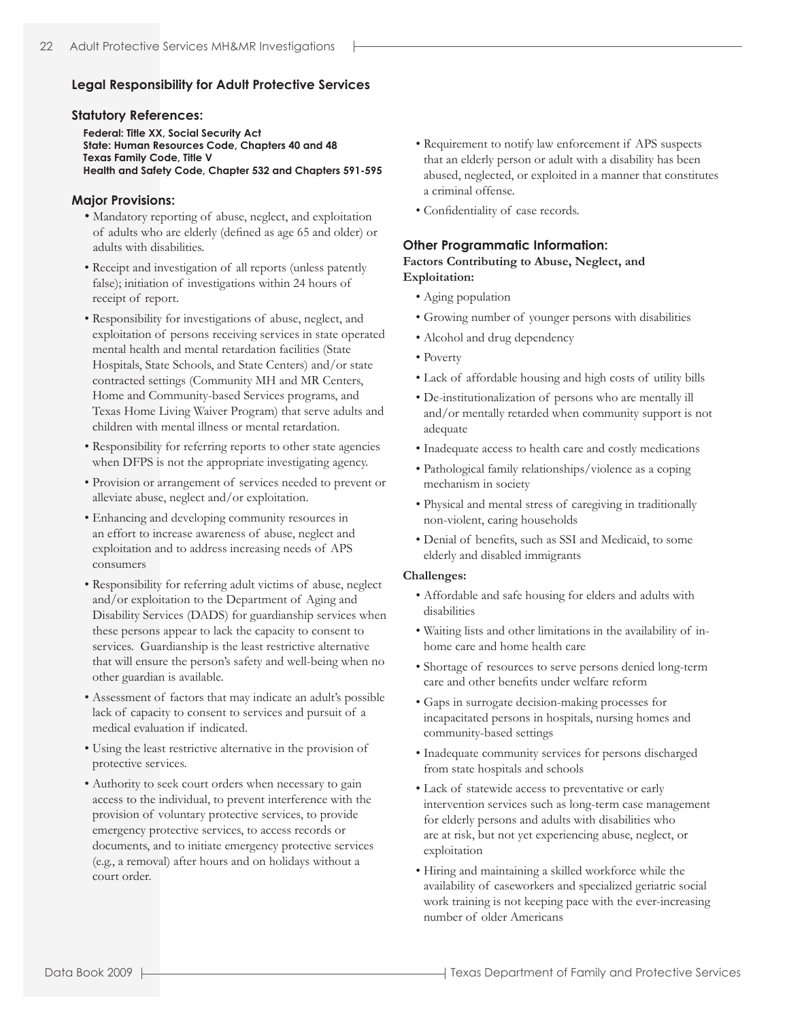#### **Legal Responsibility for Adult Protective Services**

#### **Statutory References:**

**Federal: Title XX, Social Security Act State: Human Resources Code, Chapters 40 and 48 Texas Family Code, Title V Health and Safety Code, Chapter 532 and Chapters 591-595**

#### **Major Provisions:**

- Mandatory reporting of abuse, neglect, and exploitation of adults who are elderly (defined as age 65 and older) or adults with disabilities.
- Receipt and investigation of all reports (unless patently false); initiation of investigations within 24 hours of receipt of report.
- Responsibility for investigations of abuse, neglect, and exploitation of persons receiving services in state operated mental health and mental retardation facilities (State Hospitals, State Schools, and State Centers) and/or state contracted settings (Community MH and MR Centers, Home and Community-based Services programs, and Texas Home Living Waiver Program) that serve adults and children with mental illness or mental retardation.
- Responsibility for referring reports to other state agencies when DFPS is not the appropriate investigating agency.
- Provision or arrangement of services needed to prevent or alleviate abuse, neglect and/or exploitation.
- Enhancing and developing community resources in an effort to increase awareness of abuse, neglect and exploitation and to address increasing needs of APS consumers
- Responsibility for referring adult victims of abuse, neglect and/or exploitation to the Department of Aging and Disability Services (DADS) for guardianship services when these persons appear to lack the capacity to consent to services. Guardianship is the least restrictive alternative that will ensure the person's safety and well-being when no other guardian is available.
- Assessment of factors that may indicate an adult's possible lack of capacity to consent to services and pursuit of a medical evaluation if indicated.
- Using the least restrictive alternative in the provision of protective services.
- Authority to seek court orders when necessary to gain access to the individual, to prevent interference with the provision of voluntary protective services, to provide emergency protective services, to access records or documents, and to initiate emergency protective services (e.g., a removal) after hours and on holidays without a court order.
- Requirement to notify law enforcement if APS suspects that an elderly person or adult with a disability has been abused, neglected, or exploited in a manner that constitutes a criminal offense.
- Confidentiality of case records.

#### **Other Programmatic Information:**

#### **Factors Contributing to Abuse, Neglect, and Exploitation:**

- Aging population
- Growing number of younger persons with disabilities
- Alcohol and drug dependency
- Poverty
- Lack of affordable housing and high costs of utility bills
- De-institutionalization of persons who are mentally ill and/or mentally retarded when community support is not adequate
- Inadequate access to health care and costly medications
- Pathological family relationships/violence as a coping mechanism in society
- Physical and mental stress of caregiving in traditionally non-violent, caring households
- Denial of benefits, such as SSI and Medicaid, to some elderly and disabled immigrants

#### **Challenges:**

- Affordable and safe housing for elders and adults with disabilities
- Waiting lists and other limitations in the availability of inhome care and home health care
- Shortage of resources to serve persons denied long-term care and other benefits under welfare reform
- Gaps in surrogate decision-making processes for incapacitated persons in hospitals, nursing homes and community-based settings
- Inadequate community services for persons discharged from state hospitals and schools
- Lack of statewide access to preventative or early intervention services such as long-term case management for elderly persons and adults with disabilities who are at risk, but not yet experiencing abuse, neglect, or exploitation
- Hiring and maintaining a skilled workforce while the availability of caseworkers and specialized geriatric social work training is not keeping pace with the ever-increasing number of older Americans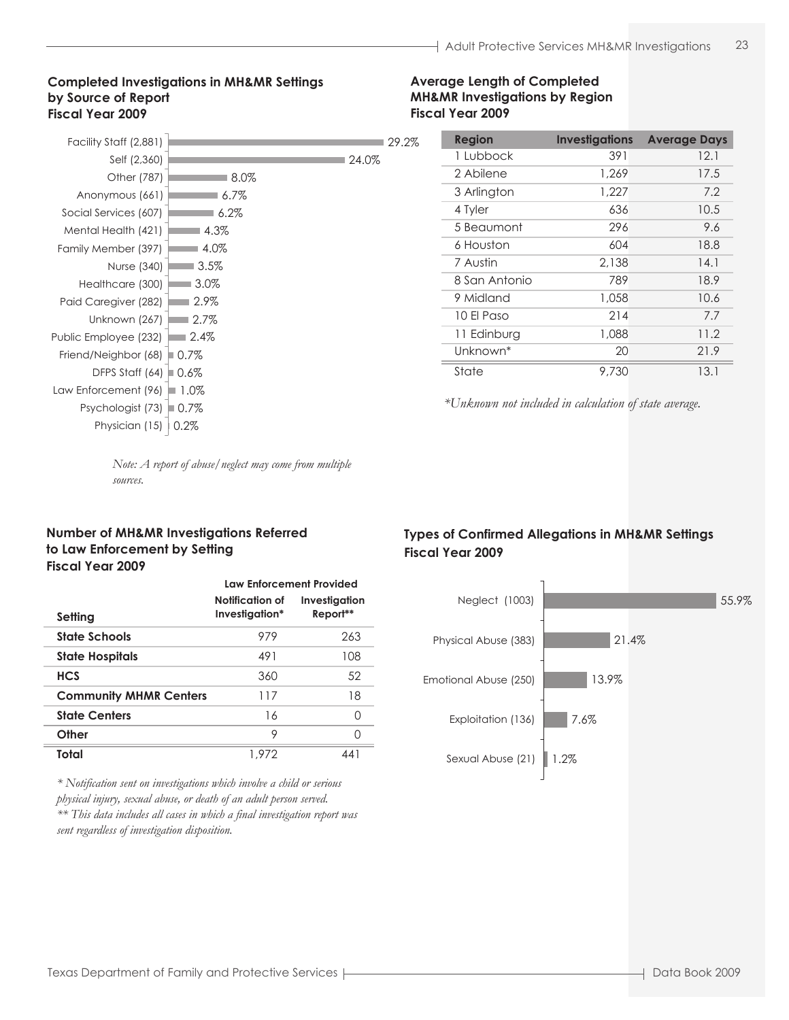#### **Completed Investigations in MH&MR Settings by Source of Report Fiscal Year 2009**

| Facility Staff (2,881) |         |       | 29.2% |
|------------------------|---------|-------|-------|
| Self (2,360)           |         | 24.0% |       |
| Other (787)            | 8.0%    |       |       |
| Anonymous (661)        | $6.7\%$ |       |       |
| Social Services (607)  | $6.2\%$ |       |       |
| Mental Health (421)    | 4.3%    |       |       |
| Family Member (397)    | 4.0%    |       |       |
| Nurse (340)            | $3.5\%$ |       |       |
| Healthcare (300)       | $3.0\%$ |       |       |
| Paid Caregiver (282)   | 2.9%    |       |       |
| Unknown (267)          | $2.7\%$ |       |       |
| Public Employee (232)  | $2.4\%$ |       |       |
| Friend/Neighbor (68)   | $0.7\%$ |       |       |
| DFPS Staff (64)        | $0.6\%$ |       |       |
| Law Enforcement (96)   | $1.0\%$ |       |       |
| Psychologist (73)      | $0.7\%$ |       |       |
| Physician (15)         | 0.2%    |       |       |
|                        |         |       |       |

#### **Average Length of Completed MH&MR Investigations by Region Fiscal Year 2009**

| <b>Region</b> | <b>Investigations</b> | <b>Average Days</b> |
|---------------|-----------------------|---------------------|
| 1 Lubbock     | 391                   | 12.1                |
| 2 Abilene     | 1,269                 | 17.5                |
| 3 Arlington   | 1,227                 | 7.2                 |
| 4 Tyler       | 636                   | 10.5                |
| 5 Beaumont    | 296                   | 9.6                 |
| 6 Houston     | 604                   | 18.8                |
| 7 Austin      | 2.138                 | 14.1                |
| 8 San Antonio | 789                   | 18.9                |
| 9 Midland     | 1.058                 | 10.6                |
| 10 El Paso    | 214                   | 7.7                 |
| 11 Edinburg   | 1,088                 | 11.2                |
| Unknown*      | 20                    | 21.9                |
| State         | 9,730                 | 13.1                |

*\*Unknown not included in calculation of state average.*

*Note: A report of abuse/neglect may come from multiple sources.*

#### **Number of MH&MR Investigations Referred to Law Enforcement by Setting Fiscal Year 2009**

|                               | <b>Law Enforcement Provided</b>   |                           |  |  |  |  |  |
|-------------------------------|-----------------------------------|---------------------------|--|--|--|--|--|
| Setting                       | Notification of<br>Investigation* | Investigation<br>Report** |  |  |  |  |  |
| <b>State Schools</b>          | 979                               | 263                       |  |  |  |  |  |
| <b>State Hospitals</b>        | 491                               | 108                       |  |  |  |  |  |
| <b>HCS</b>                    | 360                               | 52                        |  |  |  |  |  |
| <b>Community MHMR Centers</b> | 117                               | 18                        |  |  |  |  |  |
| <b>State Centers</b>          | 16                                | ∩                         |  |  |  |  |  |
| Other                         | 9                                 | ∩                         |  |  |  |  |  |
| Total                         | 1.972                             | 441                       |  |  |  |  |  |

*\* Notification sent on investigations which involve a child or serious physical injury, sexual abuse, or death of an adult person served. \*\* This data includes all cases in which a final investigation report was sent regardless of investigation disposition.*

## **Types of Confirmed Allegations in MH&MR Settings Fiscal Year 2009**



pg\_022\_b Data Book Page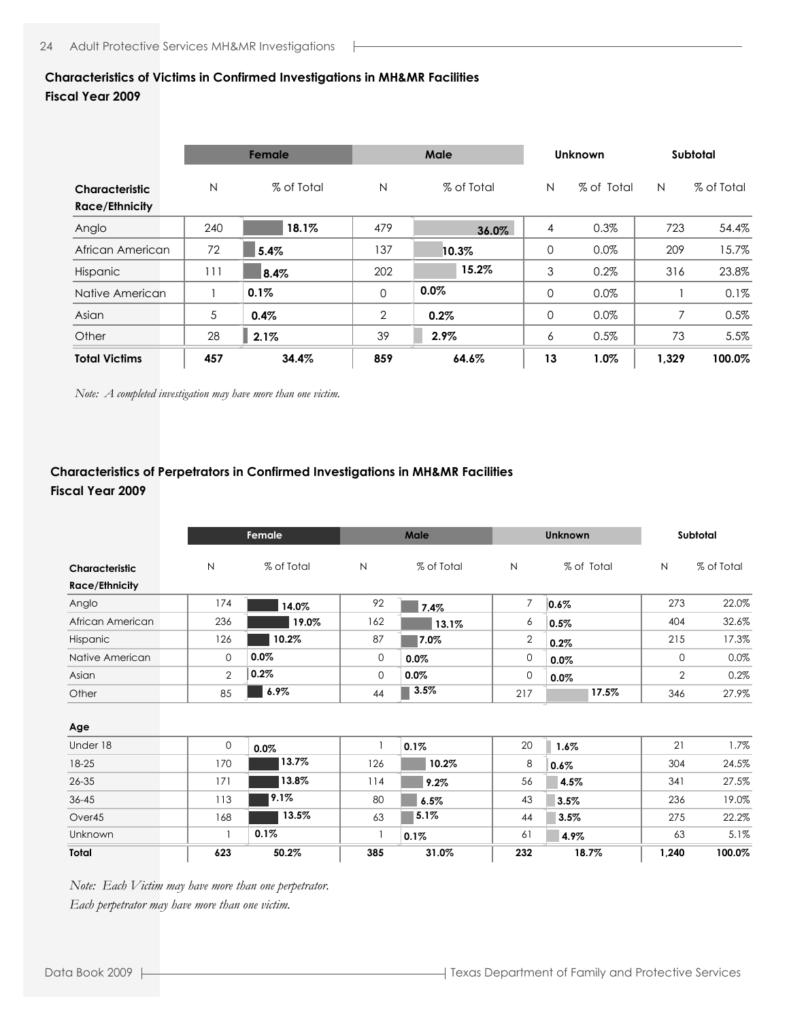#### **Characteristics of Victims in Confirmed Investigations in MH&MR Facilities Fiscal Year 2009**

#### **Characteristic** N % of Total N % of Total N % of Total N % of Total **Race/Ethnicity** Anglo 240 479 4 0.3% 723 54.4% African American | 72 | 5.4% | 137 | 10.3% | 0 0.0% | 209 15.7% Hispanic | 111 | 8.4% | 202 | 15.2% | 3 0.2% 316 23.8% Native American | 1 0.1% | 0 0.0% | 0 0.0% | 1 0.1% Asian 5 2 0 0.0% 7 0.5% Other 28 39 6 0.5% 73 5.5% **Total Victims 457 34.4% 859 64.6% 13 1.0% 1,329 100.0% Female Male Unknown Subtotal 2.1% 0.4% 5.4% 8.4% 0.1% 18.1% 0.2% 10.3% 15.2% 0.0% 36.0% 2.9%**

*Note: A completed investigation may have more than one victim.*

## **Characteristics of Perpetrators in Confirmed Investigations in MH&MR Facilities Fiscal Year 2009**

|                                         |                | Female     |              | Male       |                | <b>Unknown</b> | Subtotal       |            |  |
|-----------------------------------------|----------------|------------|--------------|------------|----------------|----------------|----------------|------------|--|
| Characteristic<br><b>Race/Ethnicity</b> | N              | % of Total | $\mathsf{N}$ | % of Total | $\mathsf{N}$   | % of Total     | N              | % of Total |  |
| Anglo                                   | 174            | 14.0%      | 92           | 7.4%       | $\overline{7}$ | 0.6%           | 273            | 22.0%      |  |
| African American                        | 236            | 19.0%      | 162          | 13.1%      | 6              | 0.5%           | 404            | 32.6%      |  |
| Hispanic                                | 126            | 10.2%      | 87           | 7.0%       | $\mathbf{2}$   | 0.2%           | 215            | 17.3%      |  |
| Native American                         | $\mathbf{O}$   | 0.0%       | $\mathbf 0$  | $0.0\%$    | 0              | 0.0%           | 0              | 0.0%       |  |
| Asian                                   | $\overline{2}$ | 0.2%       | $\mathbf{0}$ | 0.0%       | 0              | 0.0%           | $\overline{2}$ | 0.2%       |  |
| Other                                   | 85             | 6.9%       | 44           | 3.5%       | 217            | 17.5%          | 346            | 27.9%      |  |
| Age                                     |                |            |              |            |                |                |                |            |  |
| Under 18                                | 0              | 0.0%       |              | 0.1%       | 20             | $1.6\%$        | 21             | 1.7%       |  |
| 18-25                                   | 170            | 13.7%      | 126          | 10.2%      | 8              | 0.6%           | 304            | 24.5%      |  |
| $26 - 35$                               | 171            | 13.8%      | 114          | 9.2%       | 56             | 4.5%           | 341            | 27.5%      |  |
| $36 - 45$                               | 113            | 9.1%       | 80           | 6.5%       | 43             | 3.5%           | 236            | 19.0%      |  |
| Over45                                  | 168            | 13.5%      | 63           | 5.1%       | 44             | 3.5%           | 275            | 22.2%      |  |
| Unknown                                 |                | 0.1%       |              | 0.1%       | 61             | 4.9%           | 63             | 5.1%       |  |
| Total                                   | 623            | 50.2%      | 385          | 31.0%      | 232            | 18.7%          | 1,240          | 100.0%     |  |

*Note: Each Victim may have more than one perpetrator. Each perpetrator may have more than one victim.*